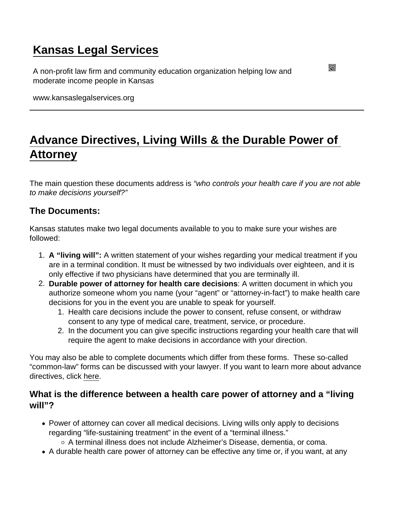## [Kansas Legal Services](https://www.kansaslegalservices.org/)

A non-profit law firm and community education organization helping low and moderate income people in Kansas

www.kansaslegalservices.org

# [Advance Directives, Living Wills & the Durable Power of](https://www.kansaslegalservices.org/node/1097/advance-directives-living-wills-durable-power-attorney)  [Attorney](https://www.kansaslegalservices.org/node/1097/advance-directives-living-wills-durable-power-attorney)

The main question these documents address is "who controls your health care if you are not able to make decisions yourself?"

The Documents:

Kansas statutes make two legal documents available to you to make sure your wishes are followed:

- 1. A "living will": A written statement of your wishes regarding your medical treatment if you are in a terminal condition. It must be witnessed by two individuals over eighteen, and it is only effective if two physicians have determined that you are terminally ill.
- 2. Durable power of attorney for health care decisions : A written document in which you authorize someone whom you name (your "agent" or "attorney-in-fact") to make health care decisions for you in the event you are unable to speak for yourself.
	- 1. Health care decisions include the power to consent, refuse consent, or withdraw consent to any type of medical care, treatment, service, or procedure.
	- 2. In the document you can give specific instructions regarding your health care that will require the agent to make decisions in accordance with your direction.

You may also be able to complete documents which differ from these forms. These so-called "common-law" forms can be discussed with your lawyer. If you want to learn more about advance directives, click [here](http://www.kansaslegalservices.org/node/2274/advance-directives).

What is the difference between a health care power of attorney and a "living will"?

Power of attorney can cover all medical decisions. Living wills only apply to decisions regarding "life-sustaining treatment" in the event of a "terminal illness."

A terminal illness does not include Alzheimer's Disease, dementia, or coma.

• A durable health care power of attorney can be effective any time or, if you want, at any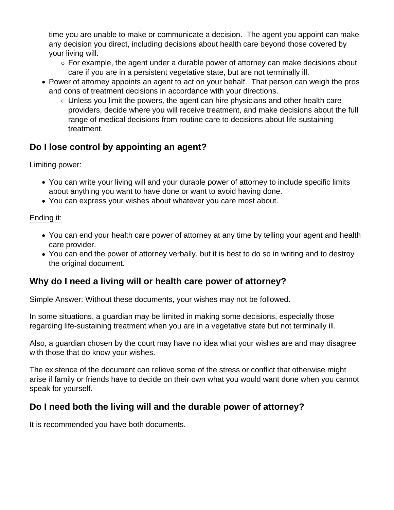time you are unable to make or communicate a decision. The agent you appoint can make any decision you direct, including decisions about health care beyond those covered by your living will.

- $\circ$  For example, the agent under a durable power of attorney can make decisions about care if you are in a persistent vegetative state, but are not terminally ill.
- Power of attorney appoints an agent to act on your behalf. That person can weigh the pros and cons of treatment decisions in accordance with your directions.
	- $\circ$  Unless you limit the powers, the agent can hire physicians and other health care providers, decide where you will receive treatment, and make decisions about the full range of medical decisions from routine care to decisions about life-sustaining treatment.

## **Do I lose control by appointing an agent?**

## Limiting power:

- You can write your living will and your durable power of attorney to include specific limits about anything you want to have done or want to avoid having done.
- You can express your wishes about whatever you care most about.

#### Ending it:

- You can end your health care power of attorney at any time by telling your agent and health care provider.
- You can end the power of attorney verbally, but it is best to do so in writing and to destroy the original document.

## **Why do I need a living will or health care power of attorney?**

Simple Answer: Without these documents, your wishes may not be followed.

In some situations, a guardian may be limited in making some decisions, especially those regarding life-sustaining treatment when you are in a vegetative state but not terminally ill.

Also, a guardian chosen by the court may have no idea what your wishes are and may disagree with those that do know your wishes.

The existence of the document can relieve some of the stress or conflict that otherwise might arise if family or friends have to decide on their own what you would want done when you cannot speak for yourself.

## **Do I need both the living will and the durable power of attorney?**

It is recommended you have both documents.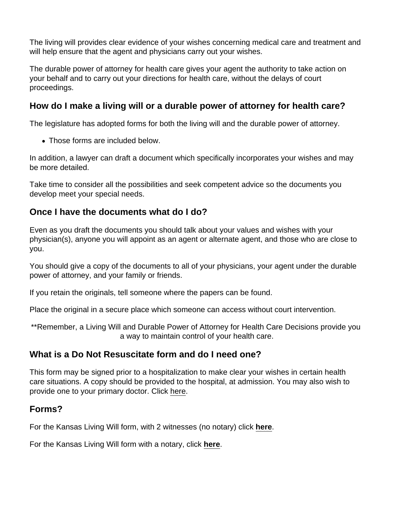The living will provides clear evidence of your wishes concerning medical care and treatment and will help ensure that the agent and physicians carry out your wishes.

The durable power of attorney for health care gives your agent the authority to take action on your behalf and to carry out your directions for health care, without the delays of court proceedings.

How do I make a living will or a durable power of attorney for health care?

The legislature has adopted forms for both the living will and the durable power of attorney.

• Those forms are included below.

In addition, a lawyer can draft a document which specifically incorporates your wishes and may be more detailed.

Take time to consider all the possibilities and seek competent advice so the documents you develop meet your special needs.

Once I have the documents what do I do?

Even as you draft the documents you should talk about your values and wishes with your physician(s), anyone you will appoint as an agent or alternate agent, and those who are close to you.

You should give a copy of the documents to all of your physicians, your agent under the durable power of attorney, and your family or friends.

If you retain the originals, tell someone where the papers can be found.

Place the original in a secure place which someone can access without court intervention.

\*\*Remember, a Living Will and Durable Power of Attorney for Health Care Decisions provide you a way to maintain control of your health care.

## What is a Do Not Resuscitate form and do I need one?

This form may be signed prior to a hospitalization to make clear your wishes in certain health care situations. A copy should be provided to the hospital, at admission. You may also wish to provide one to your primary doctor. Click [here.](https://www.kansaslegalservices.org/sites/kansaslegalservices.org/files/Do Not Resuscitate request (DNR)_0.doc)

## Forms?

For the Kansas Living Will form, with 2 witnesses (no notary) click [here.](https://www.kansaslegalservices.org/sites/kansaslegalservices.org/files/LIVING WILL Declaration_1.pdf)

For the Kansas Living Will form with a notary, click [here](https://www.kansaslegalservices.org/sites/kansaslegalservices.org/files/Living Will form w_notary fillable.pdf).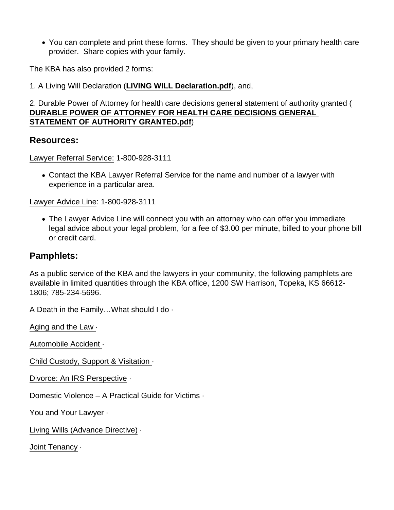You can complete and print these forms. They should be given to your primary health care provider. Share copies with your family.

The KBA has also provided 2 forms:

1. A Living Will Declaration [\(LIVING WILL Declaration.pdf](http://www.kansaslegalservices.org/sites/kansaslegalservices.org/files/LIVING WILL Declaration_1.pdf) ), and,

2. Durable Power of Attorney for health care decisions general statement of authority granted ( [DURABLE POWER OF ATTORNEY FOR HEALTH CARE DECISIONS GENERAL](http://www.kansaslegalservices.org/sites/kansaslegalservices.org/files/DURABLE POWER OF ATTORNEY FOR HEALTH CARE DECISIONS GENERAL STATEMENT OF AUTHORITY GRANTED_1.pdf)  [STATEMENT OF AUTHORITY GRANTED.pdf](http://www.kansaslegalservices.org/sites/kansaslegalservices.org/files/DURABLE POWER OF ATTORNEY FOR HEALTH CARE DECISIONS GENERAL STATEMENT OF AUTHORITY GRANTED_1.pdf) )

Resources:

Lawyer Referral Service: 1-800-928-3111

Contact the KBA Lawyer Referral Service for the name and number of a lawyer with experience in a particular area.

Lawyer Advice Line: 1-800-928-3111

The Lawyer Advice Line will connect you with an attorney who can offer you immediate legal advice about your legal problem, for a fee of \$3.00 per minute, billed to your phone bill or credit card.

#### Pamphlets:

As a public service of the KBA and the lawyers in your community, the following pamphlets are available in limited quantities through the KBA office, 1200 SW Harrison, Topeka, KS 66612- 1806; 785-234-5696.

[A Death in the Family…What should I do](https://www.ksbar.org/page/death_family) [·](http://www.ksbar.org/?page=death_family&hhSearchTerms="death+and+family")

[Aging and the Law](https://www.ksbar.org/page/aging_and_the_law) ·

[Automobile Accident](https://www.ksbar.org/page/auto_accident?&hhsearchterms="automobile+and+accident") ·

[Child Custody, Support & Visitation](https://www.ksbar.org/page/child_custody) ·

[Divorce: An IRS Perspective](https://www.ksbar.org/page/divorce_irs) ·

[Domestic Violence – A Practical Guide for Victims](https://www.ksbar.org/page/domestic_victims) ·

[You and Your Lawyer](https://www.ksbar.org/page/YouAndYourLawyer) ·

[Living Wills \(Advance Directive\)](https://www.ksbar.org/page/LivingWillsAdvance#:~:text=The living will provides that,care will still be administered.) ·

[Joint Tenancy](https://www.ksbar.org/page/joint_tenancy) ·